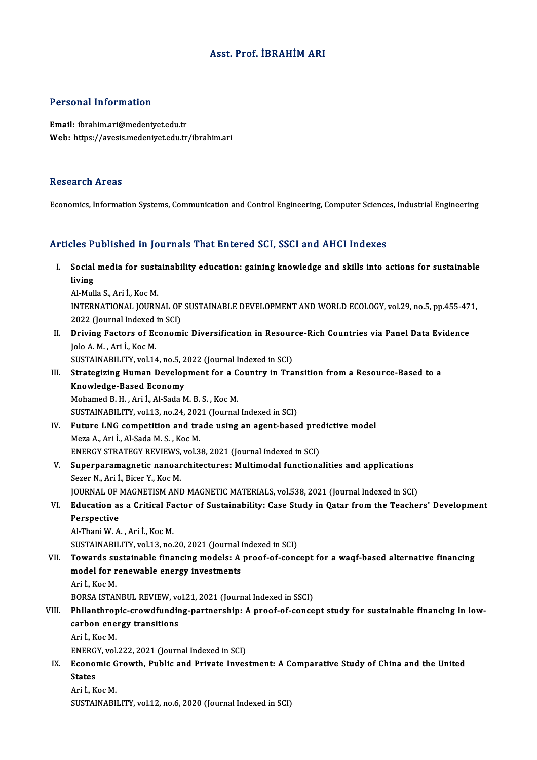### Asst. Prof. İBRAHİMARI

### Personal Information

Email: ibrahim.ari@medeniyet.edu.tr Web: https://avesis.medeniyet.edu.tr/ibrahim.ari

#### Research Areas

Economics, Information Systems, Communication and Control Engineering, Computer Sciences, Industrial Engineering

#### Articles Published in Journals That Entered SCI, SSCI and AHCI Indexes

rticles Published in Journals That Entered SCI, SSCI and AHCI Indexes<br>I. Social media for sustainability education: gaining knowledge and skills into actions for sustainable<br>living ا<br>Social<br>living Social media for susta<br>Iiving<br>Al-Mulla S., Ari İ., Koc M.<br>INTERNATIONAL JOURN l<mark>iving</mark><br>Al-Mulla S., Ari İ., Koc M.<br>INTERNATIONAL JOURNAL OF SUSTAINABLE DEVELOPMENT AND WORLD ECOLOGY, vol.29, no.5, pp.455-471,

Al-Mulla S., Ari İ., Koc M.<br>INTERNATIONAL JOURNAL OF<br>2022 (Journal Indexed in SCI)<br>Driving Fostors of Feenomi

II. Driving Factors of Economic Diversification in Resource-Rich Countries via Panel Data Evidence<br>Jolo A. M., Ari İ., Koc M. 2022 (Journal Indexed)<br>Driving Factors of Ec<br>Jolo A. M. , Ari İ., Koc M.<br>SUSTAINABU ITV. vol 14

SUSTAINABILITY, vol.14, no.5, 2022 (Journal Indexed in SCI)

## Jolo A. M. , Ari İ., Koc M.<br>SUSTAINABILITY, vol.14, no.5, 2022 (Journal Indexed in SCI)<br>III. Strategizing Human Development for a Country in Transition from a Resource-Based to a<br>Knowledge Based Fsonomy SUSTAINABILITY, vol.14, no.5, 2<br>Strategizing Human Develop<br>Knowledge-Based Economy<br>Mohamed B H Ari LALSeda N Strategizing Human Development for a C<br>Knowledge-Based Economy<br>Mohamed B. H. , Ari İ., Al-Sada M. B. S. , Koc M.<br>SUSTAINAPU ITV vel 13. no. 24. 2021 (Journal Knowledge-Based Economy<br>Mohamed B. H. , Ari İ., Al-Sada M. B. S. , Koc M.<br>SUSTAINABILITY, vol.13, no.24, 2021 (Journal Indexed in SCI) Mohamed B. H. , Ari İ., Al-Sada M. B. S. , Koc M.<br>SUSTAINABILITY, vol.13, no.24, 2021 (Journal Indexed in SCI)<br>IV. Future LNG competition and trade using an agent-based predictive model<br>Mere A. Ari <sup>I</sup>. Al Sada M. S. *Koc*

Meza A., Ari İ., Al-Sada M. S. , Koc M.<br>ENERGY STRATEGY REVIEWS, vol.38, 2021 (Journal Indexed in SCI) Future LNG competition and trade using an agent-based pre<br>Meza A., Ari İ., Al-Sada M. S. , Koc M.<br>ENERGY STRATEGY REVIEWS, vol.38, 2021 (Journal Indexed in SCI)<br>Sunerperperperatio percepebitectures: Multimodel functions

## V. Superparamagnetic nanoarchitectures: Multimodal functionalities and applications Sezer N., Ari İ., Bicer Y., Koc M.

JOURNAL OF MAGNETISM AND MAGNETIC MATERIALS, vol.538, 2021 (Journal Indexed in SCI)

# Sezer N., Ari İ., Bicer Y., Koc M.<br>JOURNAL OF MAGNETISM AND MAGNETIC MATERIALS, vol.538, 2021 (Journal Indexed in SCI)<br>VI. Education as a Critical Factor of Sustainability: Case Study in Qatar from the Teachers' Develo **JOURNAL OF |<br>Education a:<br>Perspective<br>Al Thani W.A** Education as a Critical Fa<br>Perspective<br>Al-Thani W. A. , Ari İ., Koc M.<br>SUSTAINAPU ITV. vol 12. no

Perspective<br>Al-Thani W. A. , Ari İ., Koc M.<br>SUSTAINABILITY, vol.13, no.20, 2021 (Journal Indexed in SCI)

## Al-Thani W. A. , Ari İ., Koc M.<br>SUSTAINABILITY, vol.13, no.20, 2021 (Journal Indexed in SCI)<br>VII. Towards sustainable financing models: A proof-of-concept for a waqf-based alternative financing<br>model for renewable ener SUSTAINABILITY, vol.13, no.20, 2021 (Journal I<br>Towards sustainable financing models: A<br>model for renewable energy investments **Towards su<br>model for r<br>Ari İ., Koc M.<br>POPSA ISTAN** model for renewable energy investments<br>Ari İ., Koc M.<br>BORSA ISTANBUL REVIEW, vol.21, 2021 (Journal Indexed in SSCI)

## Ari İ., Koc M.<br>BORSA ISTANBUL REVIEW, vol.21, 2021 (Journal Indexed in SSCI)<br>VIII. Philanthropic-crowdfunding-partnership: A proof-of-concept study for sustainable financing in low-<br>carbon aparay transitions BORSA ISTANBUL REVIEW, vo<br>Philanthropic-crowdfundin<br>carbon energy transitions<br>Ari L Kos M Phil<mark>anthrop</mark><br>carbon ene<br>Ari İ., Koc M.<br>ENERCY vel carbon energy transitions<br>Ari İ., Koc M.<br>ENERGY, vol.222, 2021 (Journal Indexed in SCI)<br>Feonomic Crowth, Bublic and Briyate Invec

Ari İ., Koc M.<br>ENERGY, vol.222, 2021 (Journal Indexed in SCI)<br>IX. Economic Growth, Public and Private Investment: A Comparative Study of China and the United<br>States ENERG<br>Econol<br>States<br>Ari LK Economic G<br>States<br>Ari İ., Koc M.<br>SUSTAINAPU States<br>Ari İ., Koc M.<br>SUSTAINABILITY, vol.12, no.6, 2020 (Journal Indexed in SCI)